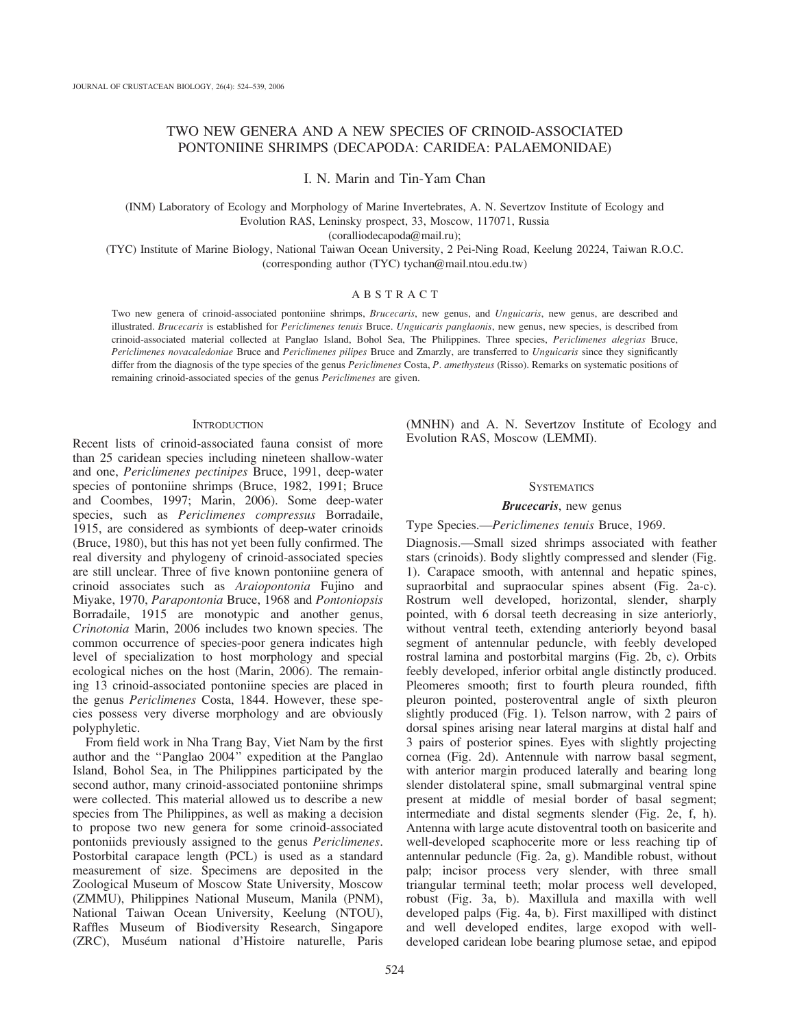# TWO NEW GENERA AND A NEW SPECIES OF CRINOID-ASSOCIATED PONTONIINE SHRIMPS (DECAPODA: CARIDEA: PALAEMONIDAE)

I. N. Marin and Tin-Yam Chan

(INM) Laboratory of Ecology and Morphology of Marine Invertebrates, A. N. Severtzov Institute of Ecology and Evolution RAS, Leninsky prospect, 33, Moscow, 117071, Russia

(coralliodecapoda@mail.ru);

(TYC) Institute of Marine Biology, National Taiwan Ocean University, 2 Pei-Ning Road, Keelung 20224, Taiwan R.O.C. (corresponding author (TYC) tychan@mail.ntou.edu.tw)

# ABSTRACT

Two new genera of crinoid-associated pontoniine shrimps, Brucecaris, new genus, and Unguicaris, new genus, are described and illustrated. Brucecaris is established for Periclimenes tenuis Bruce. Unguicaris panglaonis, new genus, new species, is described from crinoid-associated material collected at Panglao Island, Bohol Sea, The Philippines. Three species, Periclimenes alegrias Bruce, Periclimenes novacaledoniae Bruce and Periclimenes pilipes Bruce and Zmarzly, are transferred to Unguicaris since they significantly differ from the diagnosis of the type species of the genus Periclimenes Costa, P. amethysteus (Risso). Remarks on systematic positions of remaining crinoid-associated species of the genus Periclimenes are given.

### **INTRODUCTION**

Recent lists of crinoid-associated fauna consist of more than 25 caridean species including nineteen shallow-water and one, Periclimenes pectinipes Bruce, 1991, deep-water species of pontoniine shrimps (Bruce, 1982, 1991; Bruce and Coombes, 1997; Marin, 2006). Some deep-water species, such as Periclimenes compressus Borradaile, 1915, are considered as symbionts of deep-water crinoids (Bruce, 1980), but this has not yet been fully confirmed. The real diversity and phylogeny of crinoid-associated species are still unclear. Three of five known pontoniine genera of crinoid associates such as Araiopontonia Fujino and Miyake, 1970, Parapontonia Bruce, 1968 and Pontoniopsis Borradaile, 1915 are monotypic and another genus, Crinotonia Marin, 2006 includes two known species. The common occurrence of species-poor genera indicates high level of specialization to host morphology and special ecological niches on the host (Marin, 2006). The remaining 13 crinoid-associated pontoniine species are placed in the genus Periclimenes Costa, 1844. However, these species possess very diverse morphology and are obviously polyphyletic.

From field work in Nha Trang Bay, Viet Nam by the first author and the ''Panglao 2004'' expedition at the Panglao Island, Bohol Sea, in The Philippines participated by the second author, many crinoid-associated pontoniine shrimps were collected. This material allowed us to describe a new species from The Philippines, as well as making a decision to propose two new genera for some crinoid-associated pontoniids previously assigned to the genus Periclimenes. Postorbital carapace length (PCL) is used as a standard measurement of size. Specimens are deposited in the Zoological Museum of Moscow State University, Moscow (ZMMU), Philippines National Museum, Manila (PNM), National Taiwan Ocean University, Keelung (NTOU), Raffles Museum of Biodiversity Research, Singapore (ZRC), Muséum national d'Histoire naturelle, Paris

(MNHN) and A. N. Severtzov Institute of Ecology and Evolution RAS, Moscow (LEMMI).

### **SYSTEMATICS**

## Brucecaris, new genus

Type Species.—Periclimenes tenuis Bruce, 1969.

Diagnosis.—Small sized shrimps associated with feather stars (crinoids). Body slightly compressed and slender (Fig. 1). Carapace smooth, with antennal and hepatic spines, supraorbital and supraocular spines absent (Fig. 2a-c). Rostrum well developed, horizontal, slender, sharply pointed, with 6 dorsal teeth decreasing in size anteriorly, without ventral teeth, extending anteriorly beyond basal segment of antennular peduncle, with feebly developed rostral lamina and postorbital margins (Fig. 2b, c). Orbits feebly developed, inferior orbital angle distinctly produced. Pleomeres smooth; first to fourth pleura rounded, fifth pleuron pointed, posteroventral angle of sixth pleuron slightly produced (Fig. 1). Telson narrow, with 2 pairs of dorsal spines arising near lateral margins at distal half and 3 pairs of posterior spines. Eyes with slightly projecting cornea (Fig. 2d). Antennule with narrow basal segment, with anterior margin produced laterally and bearing long slender distolateral spine, small submarginal ventral spine present at middle of mesial border of basal segment; intermediate and distal segments slender (Fig. 2e, f, h). Antenna with large acute distoventral tooth on basicerite and well-developed scaphocerite more or less reaching tip of antennular peduncle (Fig. 2a, g). Mandible robust, without palp; incisor process very slender, with three small triangular terminal teeth; molar process well developed, robust (Fig. 3a, b). Maxillula and maxilla with well developed palps (Fig. 4a, b). First maxilliped with distinct and well developed endites, large exopod with welldeveloped caridean lobe bearing plumose setae, and epipod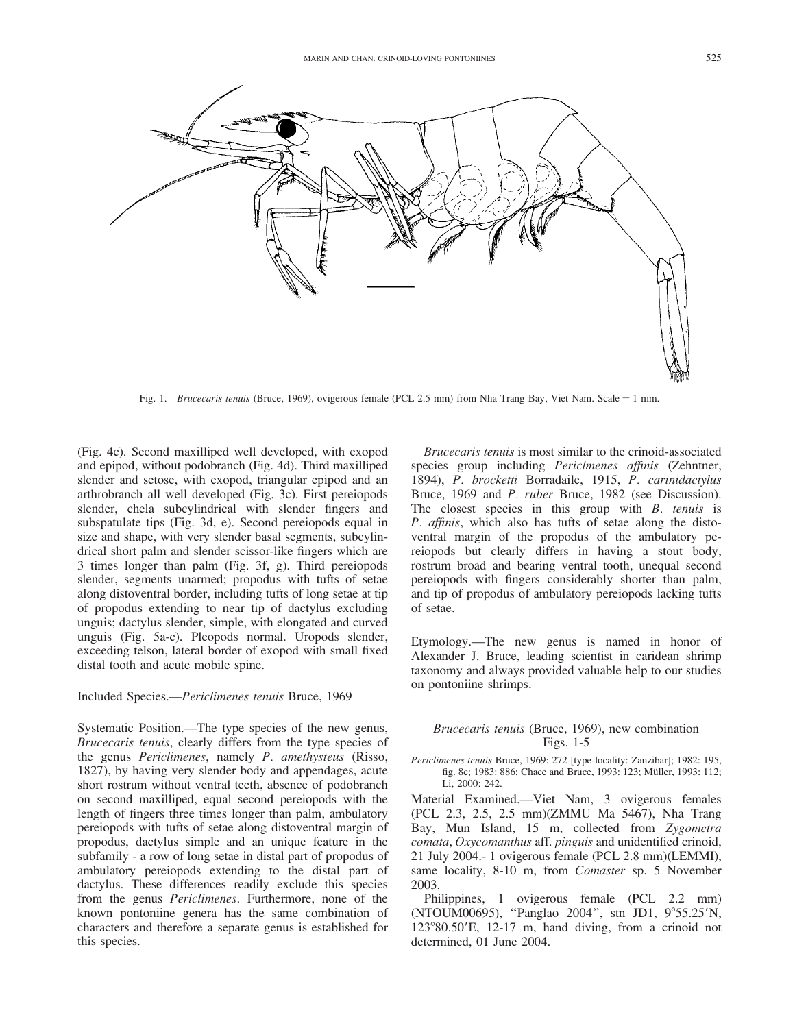

Fig. 1. Brucecaris tenuis (Bruce, 1969), ovigerous female (PCL 2.5 mm) from Nha Trang Bay, Viet Nam. Scale = 1 mm.

(Fig. 4c). Second maxilliped well developed, with exopod and epipod, without podobranch (Fig. 4d). Third maxilliped slender and setose, with exopod, triangular epipod and an arthrobranch all well developed (Fig. 3c). First pereiopods slender, chela subcylindrical with slender fingers and subspatulate tips (Fig. 3d, e). Second pereiopods equal in size and shape, with very slender basal segments, subcylindrical short palm and slender scissor-like fingers which are 3 times longer than palm (Fig. 3f, g). Third pereiopods slender, segments unarmed; propodus with tufts of setae along distoventral border, including tufts of long setae at tip of propodus extending to near tip of dactylus excluding unguis; dactylus slender, simple, with elongated and curved unguis (Fig. 5a-c). Pleopods normal. Uropods slender, exceeding telson, lateral border of exopod with small fixed distal tooth and acute mobile spine.

Included Species.—Periclimenes tenuis Bruce, 1969

Systematic Position.—The type species of the new genus, Brucecaris tenuis, clearly differs from the type species of the genus Periclimenes, namely P. amethysteus (Risso, 1827), by having very slender body and appendages, acute short rostrum without ventral teeth, absence of podobranch on second maxilliped, equal second pereiopods with the length of fingers three times longer than palm, ambulatory pereiopods with tufts of setae along distoventral margin of propodus, dactylus simple and an unique feature in the subfamily - a row of long setae in distal part of propodus of ambulatory pereiopods extending to the distal part of dactylus. These differences readily exclude this species from the genus Periclimenes. Furthermore, none of the known pontoniine genera has the same combination of characters and therefore a separate genus is established for this species.

Brucecaris tenuis is most similar to the crinoid-associated species group including *Periclmenes affinis* (Zehntner, 1894), P. brocketti Borradaile, 1915, P. carinidactylus Bruce, 1969 and P. ruber Bruce, 1982 (see Discussion). The closest species in this group with  $B$ . tenuis is P. affinis, which also has tufts of setae along the distoventral margin of the propodus of the ambulatory pereiopods but clearly differs in having a stout body, rostrum broad and bearing ventral tooth, unequal second pereiopods with fingers considerably shorter than palm, and tip of propodus of ambulatory pereiopods lacking tufts of setae.

Etymology.—The new genus is named in honor of Alexander J. Bruce, leading scientist in caridean shrimp taxonomy and always provided valuable help to our studies on pontoniine shrimps.

# Brucecaris tenuis (Bruce, 1969), new combination Figs. 1-5

Periclimenes tenuis Bruce, 1969: 272 [type-locality: Zanzibar]; 1982: 195, fig. 8c; 1983: 886; Chace and Bruce, 1993: 123; Müller, 1993: 112; Li, 2000: 242.

Material Examined.—Viet Nam, 3 ovigerous females (PCL 2.3, 2.5, 2.5 mm)(ZMMU Ma 5467), Nha Trang Bay, Mun Island, 15 m, collected from Zygometra comata, Oxycomanthus aff. pinguis and unidentified crinoid, 21 July 2004.- 1 ovigerous female (PCL 2.8 mm)(LEMMI), same locality, 8-10 m, from Comaster sp. 5 November 2003.

Philippines, 1 ovigerous female (PCL 2.2 mm) (NTOUM00695), "Panglao 2004", stn JD1, 9°55.25'N,  $123^{\circ}80.50'$ E,  $12-17$  m, hand diving, from a crinoid not determined, 01 June 2004.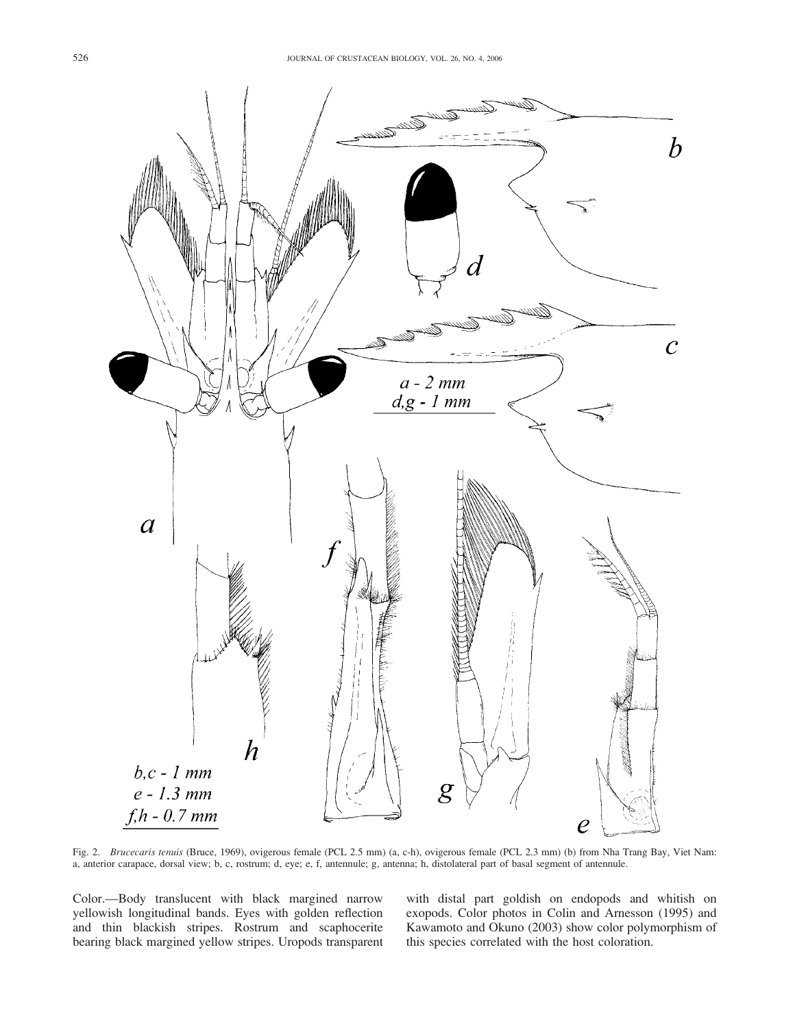

Fig. 2. Brucecaris tenuis (Bruce, 1969), ovigerous female (PCL 2.5 mm) (a, c-h), ovigerous female (PCL 2.3 mm) (b) from Nha Trang Bay, Viet Nam: a, anterior carapace, dorsal view; b, c, rostrum; d, eye; e, f, antennule; g, antenna; h, distolateral part of basal segment of antennule.

Color.—Body translucent with black margined narrow yellowish longitudinal bands. Eyes with golden reflection and thin blackish stripes. Rostrum and scaphocerite bearing black margined yellow stripes. Uropods transparent with distal part goldish on endopods and whitish on exopods. Color photos in Colin and Arnesson (1995) and Kawamoto and Okuno (2003) show color polymorphism of this species correlated with the host coloration.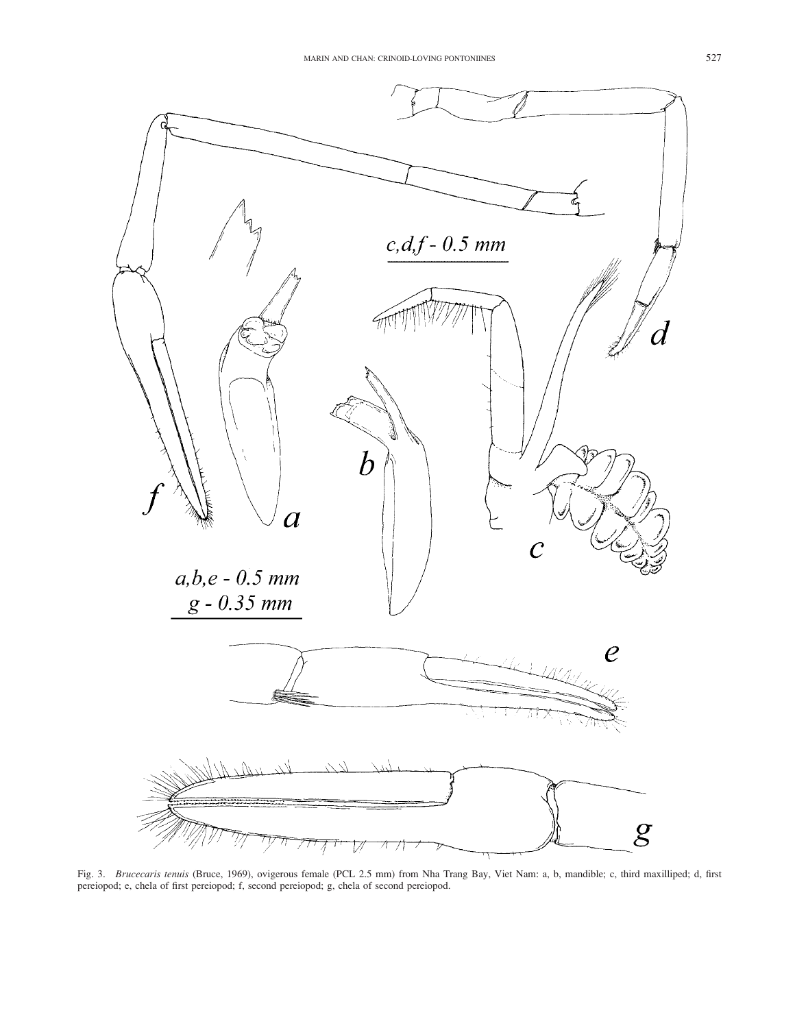

Fig. 3. Brucecaris tenuis (Bruce, 1969), ovigerous female (PCL 2.5 mm) from Nha Trang Bay, Viet Nam: a, b, mandible; c, third maxilliped; d, first pereiopod; e, chela of first pereiopod; f, second pereiopod; g, chela of second pereiopod.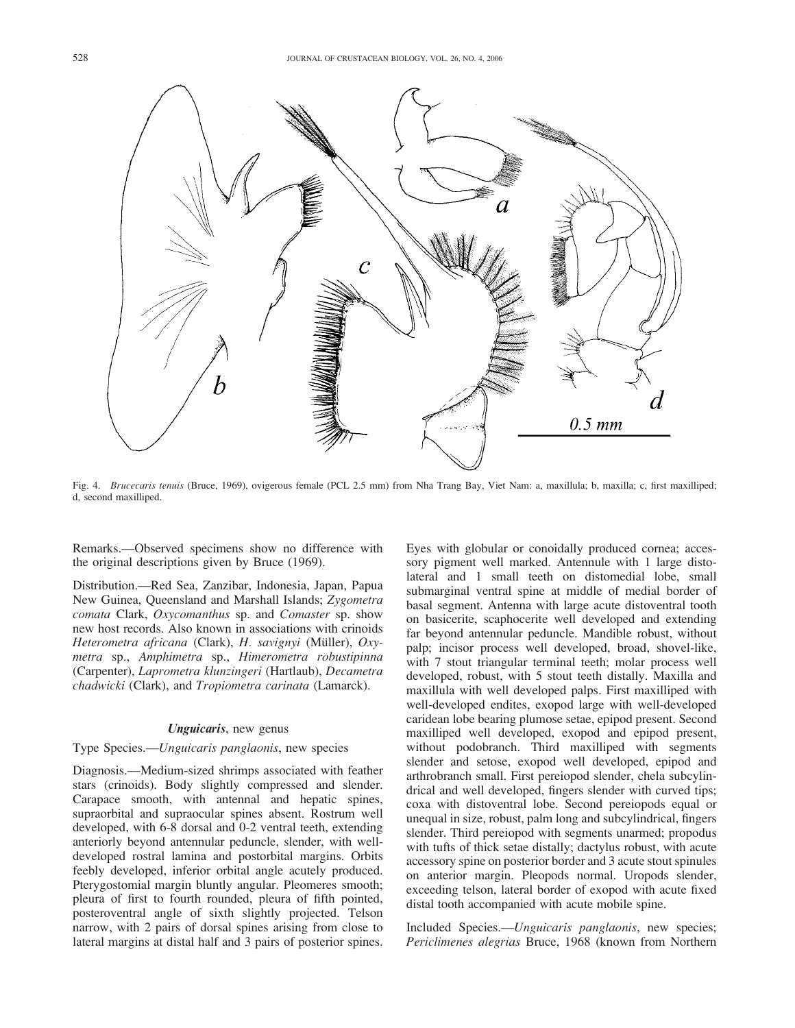

Fig. 4. Brucecaris tenuis (Bruce, 1969), ovigerous female (PCL 2.5 mm) from Nha Trang Bay, Viet Nam: a, maxillula; b, maxilla; c, first maxilliped; d, second maxilliped.

Remarks.—Observed specimens show no difference with the original descriptions given by Bruce (1969).

Distribution.—Red Sea, Zanzibar, Indonesia, Japan, Papua New Guinea, Queensland and Marshall Islands; Zygometra comata Clark, Oxycomanthus sp. and Comaster sp. show new host records. Also known in associations with crinoids Heterometra africana (Clark), H. savignyi (Müller), Oxymetra sp., Amphimetra sp., Himerometra robustipinna (Carpenter), Laprometra klunzingeri (Hartlaub), Decametra chadwicki (Clark), and Tropiometra carinata (Lamarck).

### Unguicaris, new genus

### Type Species.—Unguicaris panglaonis, new species

Diagnosis.—Medium-sized shrimps associated with feather stars (crinoids). Body slightly compressed and slender. Carapace smooth, with antennal and hepatic spines, supraorbital and supraocular spines absent. Rostrum well developed, with 6-8 dorsal and 0-2 ventral teeth, extending anteriorly beyond antennular peduncle, slender, with welldeveloped rostral lamina and postorbital margins. Orbits feebly developed, inferior orbital angle acutely produced. Pterygostomial margin bluntly angular. Pleomeres smooth; pleura of first to fourth rounded, pleura of fifth pointed, posteroventral angle of sixth slightly projected. Telson narrow, with 2 pairs of dorsal spines arising from close to lateral margins at distal half and 3 pairs of posterior spines.

Eyes with globular or conoidally produced cornea; accessory pigment well marked. Antennule with 1 large distolateral and 1 small teeth on distomedial lobe, small submarginal ventral spine at middle of medial border of basal segment. Antenna with large acute distoventral tooth on basicerite, scaphocerite well developed and extending far beyond antennular peduncle. Mandible robust, without palp; incisor process well developed, broad, shovel-like, with 7 stout triangular terminal teeth; molar process well developed, robust, with 5 stout teeth distally. Maxilla and maxillula with well developed palps. First maxilliped with well-developed endites, exopod large with well-developed caridean lobe bearing plumose setae, epipod present. Second maxilliped well developed, exopod and epipod present, without podobranch. Third maxilliped with segments slender and setose, exopod well developed, epipod and arthrobranch small. First pereiopod slender, chela subcylindrical and well developed, fingers slender with curved tips; coxa with distoventral lobe. Second pereiopods equal or unequal in size, robust, palm long and subcylindrical, fingers slender. Third pereiopod with segments unarmed; propodus with tufts of thick setae distally; dactylus robust, with acute accessory spine on posterior border and 3 acute stout spinules on anterior margin. Pleopods normal. Uropods slender, exceeding telson, lateral border of exopod with acute fixed distal tooth accompanied with acute mobile spine.

Included Species.—Unguicaris panglaonis, new species; Periclimenes alegrias Bruce, 1968 (known from Northern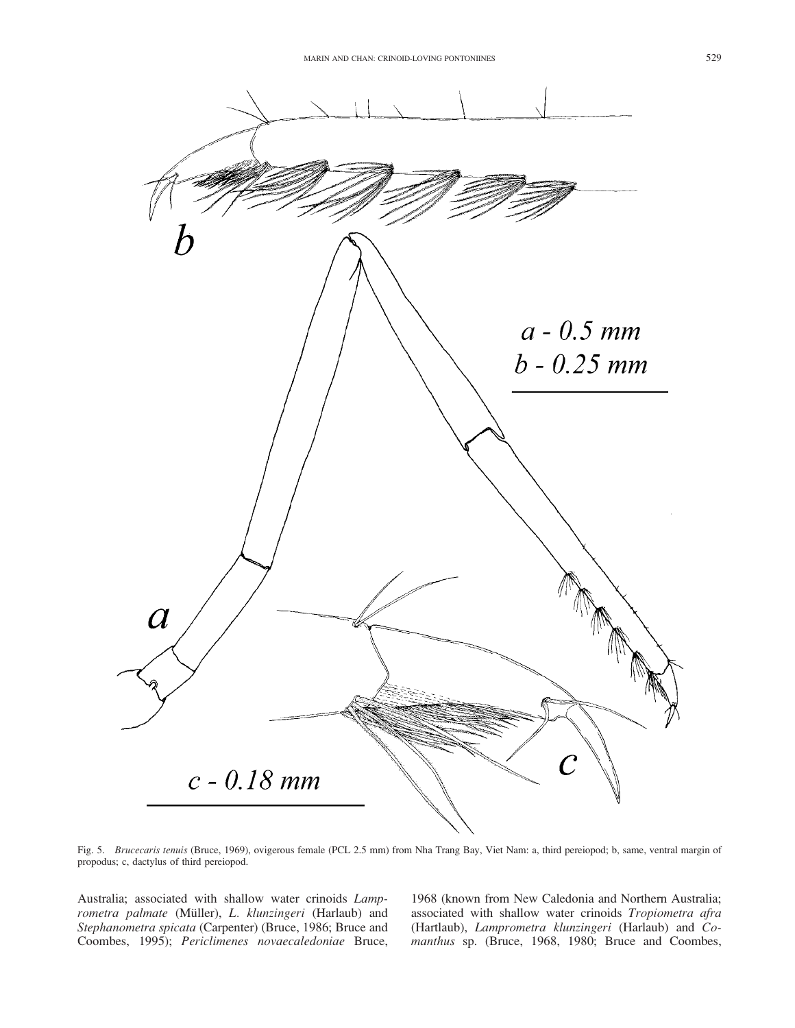

Fig. 5. Brucecaris tenuis (Bruce, 1969), ovigerous female (PCL 2.5 mm) from Nha Trang Bay, Viet Nam: a, third pereiopod; b, same, ventral margin of propodus; c, dactylus of third pereiopod.

Australia; associated with shallow water crinoids Lamprometra palmate (Müller), L. klunzingeri (Harlaub) and Stephanometra spicata (Carpenter) (Bruce, 1986; Bruce and Coombes, 1995); Periclimenes novaecaledoniae Bruce, 1968 (known from New Caledonia and Northern Australia; associated with shallow water crinoids Tropiometra afra (Hartlaub), Lamprometra klunzingeri (Harlaub) and Comanthus sp. (Bruce, 1968, 1980; Bruce and Coombes,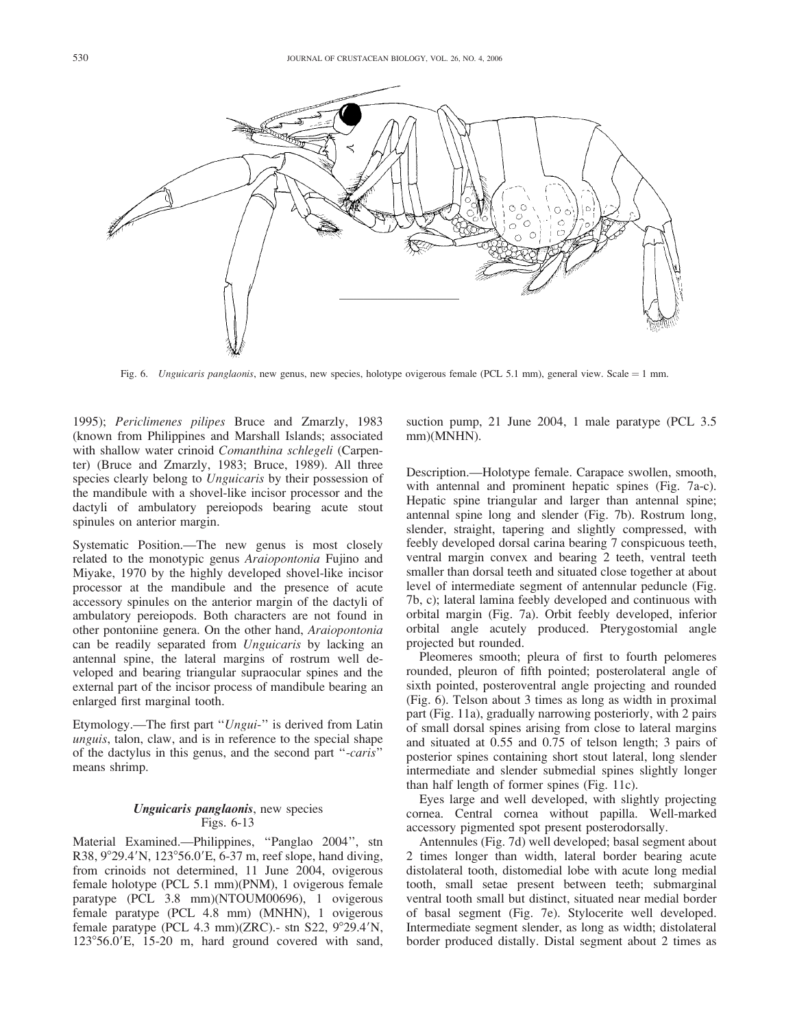

Fig. 6. Unguicaris panglaonis, new genus, new species, holotype ovigerous female (PCL 5.1 mm), general view. Scale = 1 mm.

1995); Periclimenes pilipes Bruce and Zmarzly, 1983 (known from Philippines and Marshall Islands; associated with shallow water crinoid Comanthina schlegeli (Carpenter) (Bruce and Zmarzly, 1983; Bruce, 1989). All three species clearly belong to *Unguicaris* by their possession of the mandibule with a shovel-like incisor processor and the dactyli of ambulatory pereiopods bearing acute stout spinules on anterior margin.

Systematic Position.—The new genus is most closely related to the monotypic genus Araiopontonia Fujino and Miyake, 1970 by the highly developed shovel-like incisor processor at the mandibule and the presence of acute accessory spinules on the anterior margin of the dactyli of ambulatory pereiopods. Both characters are not found in other pontoniine genera. On the other hand, Araiopontonia can be readily separated from Unguicaris by lacking an antennal spine, the lateral margins of rostrum well developed and bearing triangular supraocular spines and the external part of the incisor process of mandibule bearing an enlarged first marginal tooth.

Etymology.—The first part "Ungui-" is derived from Latin unguis, talon, claw, and is in reference to the special shape of the dactylus in this genus, and the second part ''-caris'' means shrimp.

# Unguicaris panglaonis, new species Figs. 6-13

Material Examined.—Philippines, ''Panglao 2004'', stn R38,  $9^{\circ}29.4^{\prime}$ N, 123 $^{\circ}56.0^{\prime}$ E, 6-37 m, reef slope, hand diving, from crinoids not determined, 11 June 2004, ovigerous female holotype (PCL 5.1 mm)(PNM), 1 ovigerous female paratype (PCL 3.8 mm)(NTOUM00696), 1 ovigerous female paratype (PCL 4.8 mm) (MNHN), 1 ovigerous female paratype (PCL 4.3 mm)(ZRC).- stn S22,  $9^{\circ}29.4'N$ ,  $123^{\circ}56.0'$ E, 15-20 m, hard ground covered with sand,

suction pump, 21 June 2004, 1 male paratype (PCL 3.5 mm)(MNHN).

Description.—Holotype female. Carapace swollen, smooth, with antennal and prominent hepatic spines (Fig. 7a-c). Hepatic spine triangular and larger than antennal spine; antennal spine long and slender (Fig. 7b). Rostrum long, slender, straight, tapering and slightly compressed, with feebly developed dorsal carina bearing 7 conspicuous teeth, ventral margin convex and bearing 2 teeth, ventral teeth smaller than dorsal teeth and situated close together at about level of intermediate segment of antennular peduncle (Fig. 7b, c); lateral lamina feebly developed and continuous with orbital margin (Fig. 7a). Orbit feebly developed, inferior orbital angle acutely produced. Pterygostomial angle projected but rounded.

Pleomeres smooth; pleura of first to fourth pelomeres rounded, pleuron of fifth pointed; posterolateral angle of sixth pointed, posteroventral angle projecting and rounded (Fig. 6). Telson about 3 times as long as width in proximal part (Fig. 11a), gradually narrowing posteriorly, with 2 pairs of small dorsal spines arising from close to lateral margins and situated at 0.55 and 0.75 of telson length; 3 pairs of posterior spines containing short stout lateral, long slender intermediate and slender submedial spines slightly longer than half length of former spines (Fig. 11c).

Eyes large and well developed, with slightly projecting cornea. Central cornea without papilla. Well-marked accessory pigmented spot present posterodorsally.

Antennules (Fig. 7d) well developed; basal segment about 2 times longer than width, lateral border bearing acute distolateral tooth, distomedial lobe with acute long medial tooth, small setae present between teeth; submarginal ventral tooth small but distinct, situated near medial border of basal segment (Fig. 7e). Stylocerite well developed. Intermediate segment slender, as long as width; distolateral border produced distally. Distal segment about 2 times as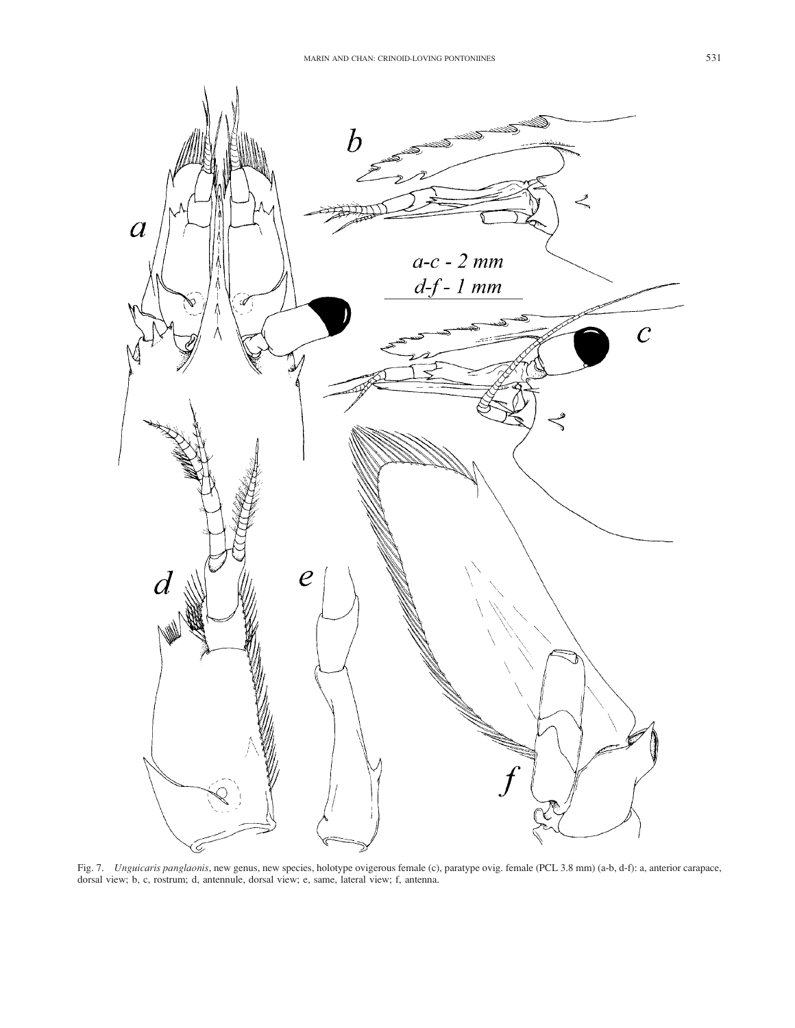

Fig. 7. Unguicaris panglaonis, new genus, new species, holotype ovigerous female (c), paratype ovig. female (PCL 3.8 mm) (a-b, d-f): a, anterior carapace, dorsal view; b, c, rostrum; d, antennule, dorsal view; e, same, lateral view; f, antenna.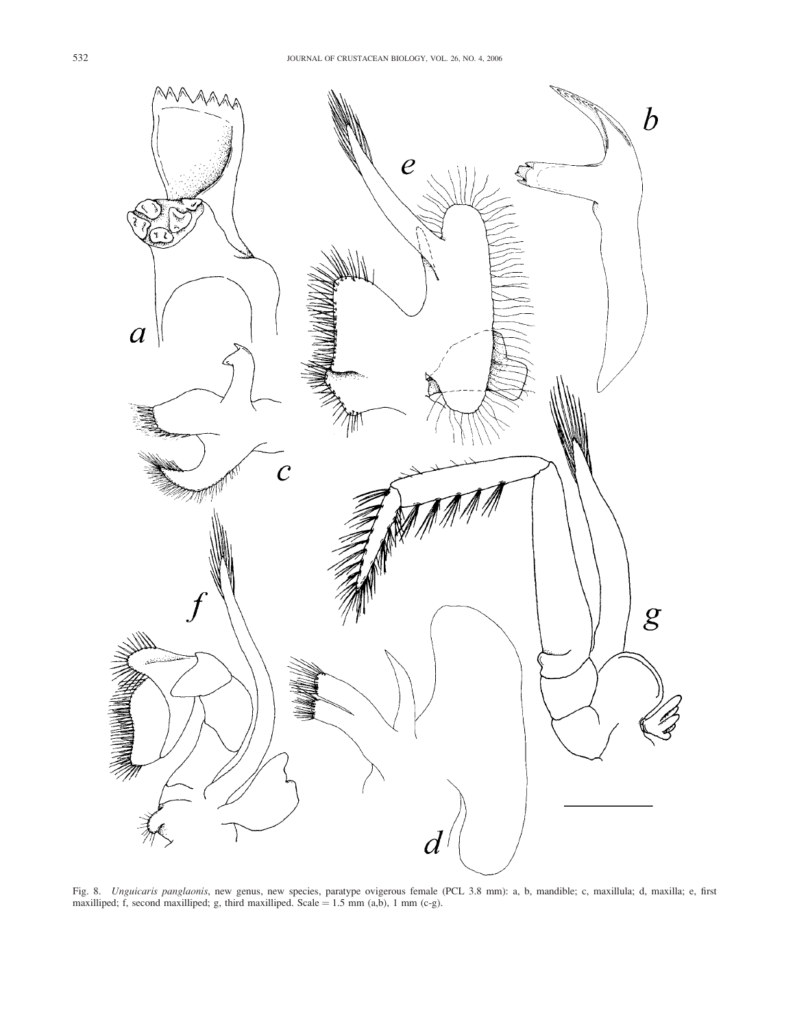

Fig. 8. Unguicaris panglaonis, new genus, new species, paratype ovigerous female (PCL 3.8 mm): a, b, mandible; c, maxillula; d, maxilla; e, first maxilliped; f, second maxilliped; g, third maxilliped. Scale  $= 1.5$  mm (a,b), 1 mm (c-g).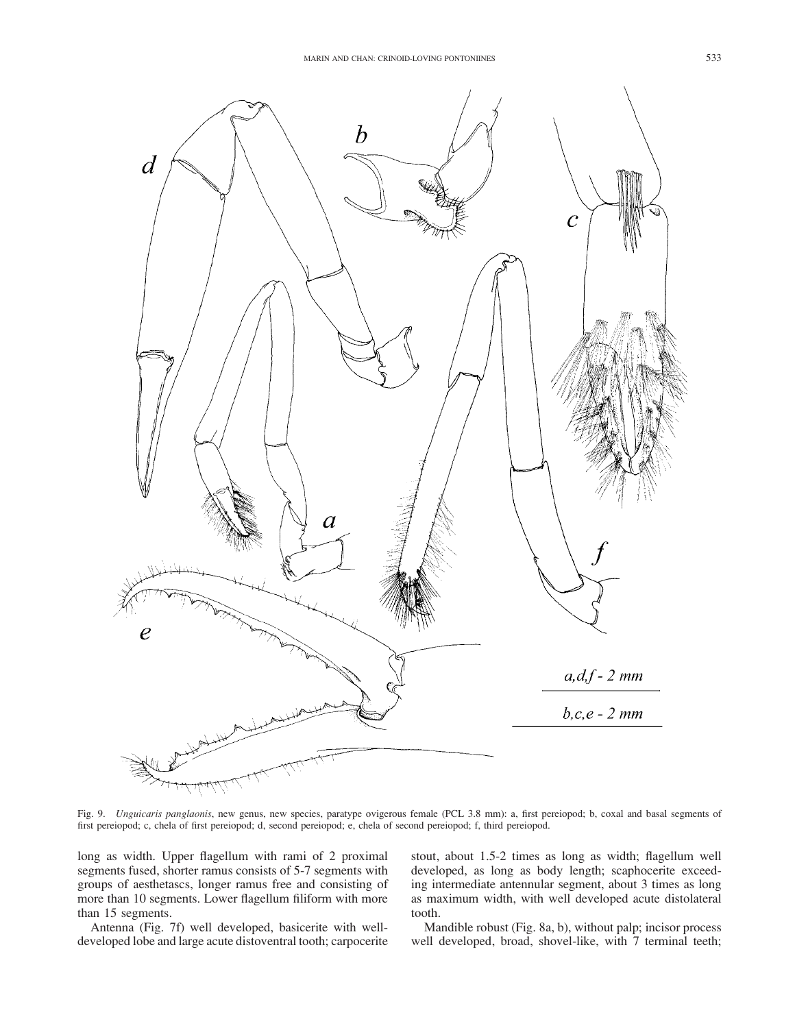

Fig. 9. Unguicaris panglaonis, new genus, new species, paratype ovigerous female (PCL 3.8 mm): a, first pereiopod; b, coxal and basal segments of first pereiopod; c, chela of first pereiopod; d, second pereiopod; e, chela of second pereiopod; f, third pereiopod.

long as width. Upper flagellum with rami of 2 proximal segments fused, shorter ramus consists of 5-7 segments with groups of aesthetascs, longer ramus free and consisting of more than 10 segments. Lower flagellum filiform with more than 15 segments.

Antenna (Fig. 7f) well developed, basicerite with welldeveloped lobe and large acute distoventral tooth; carpocerite stout, about 1.5-2 times as long as width; flagellum well developed, as long as body length; scaphocerite exceeding intermediate antennular segment, about 3 times as long as maximum width, with well developed acute distolateral tooth.

Mandible robust (Fig. 8a, b), without palp; incisor process well developed, broad, shovel-like, with 7 terminal teeth;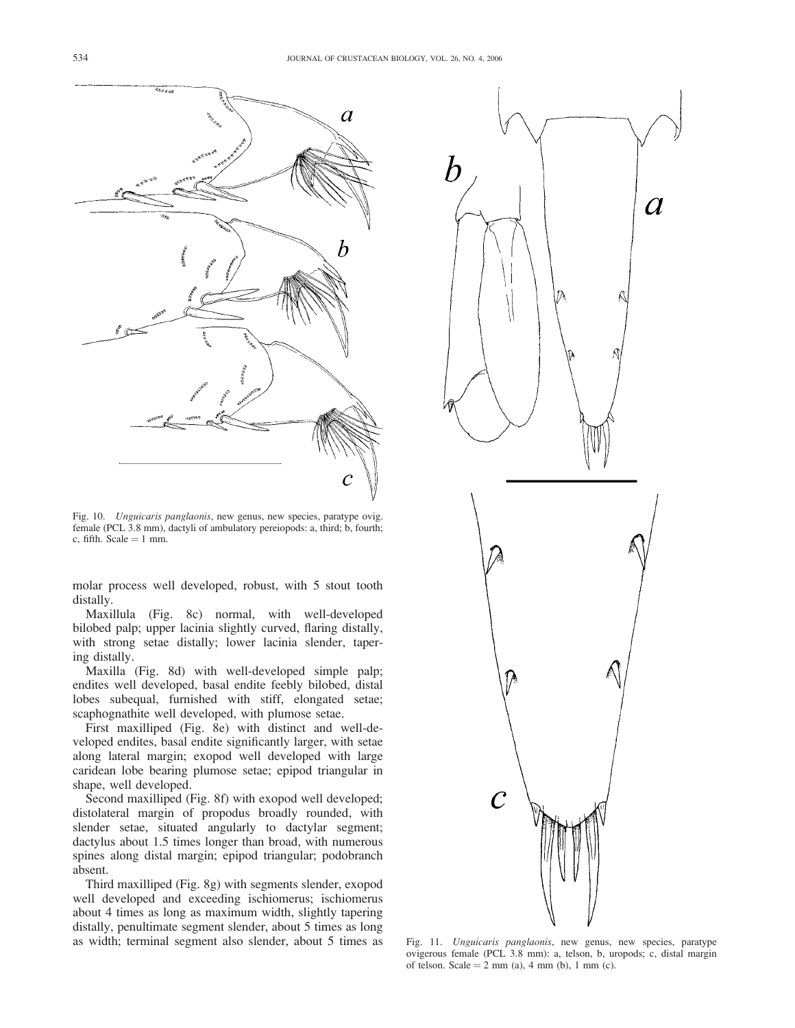

Fig. 10. Unguicaris panglaonis, new genus, new species, paratype ovig. female (PCL 3.8 mm), dactyli of ambulatory pereiopods: a, third; b, fourth; c, fifth. Scale  $= 1$  mm.

molar process well developed, robust, with 5 stout tooth distally.

Maxillula (Fig. 8c) normal, with well-developed bilobed palp; upper lacinia slightly curved, flaring distally, with strong setae distally; lower lacinia slender, tapering distally.

Maxilla (Fig. 8d) with well-developed simple palp; endites well developed, basal endite feebly bilobed, distal lobes subequal, furnished with stiff, elongated setae; scaphognathite well developed, with plumose setae.

First maxilliped (Fig. 8e) with distinct and well-developed endites, basal endite significantly larger, with setae along lateral margin; exopod well developed with large caridean lobe bearing plumose setae; epipod triangular in shape, well developed.

Second maxilliped (Fig. 8f) with exopod well developed; distolateral margin of propodus broadly rounded, with slender setae, situated angularly to dactylar segment; dactylus about 1.5 times longer than broad, with numerous spines along distal margin; epipod triangular; podobranch absent.

Third maxilliped (Fig. 8g) with segments slender, exopod well developed and exceeding ischiomerus; ischiomerus about 4 times as long as maximum width, slightly tapering distally, penultimate segment slender, about 5 times as long as width; terminal segment also slender, about 5 times as



Fig. 11. Unguicaris panglaonis, new genus, new species, paratype ovigerous female (PCL 3.8 mm): a, telson, b, uropods; c, distal margin of telson. Scale =  $2 \text{ mm}$  (a), 4 mm (b), 1 mm (c).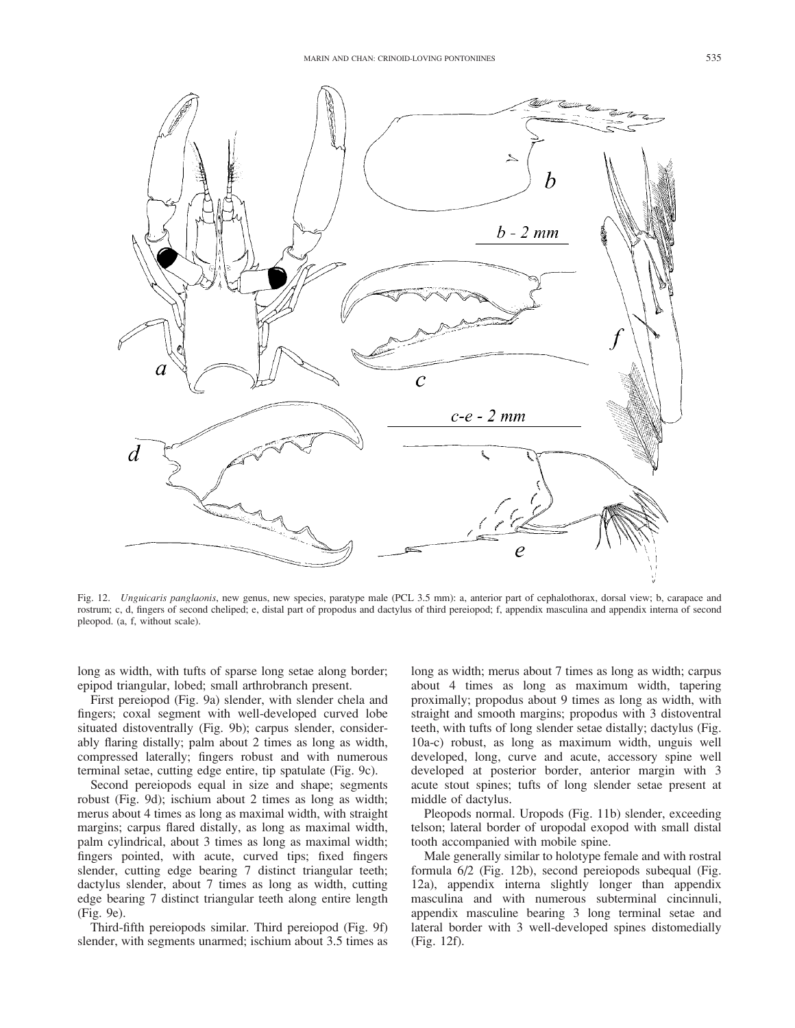

Fig. 12. Unguicaris panglaonis, new genus, new species, paratype male (PCL 3.5 mm): a, anterior part of cephalothorax, dorsal view; b, carapace and rostrum; c, d, fingers of second cheliped; e, distal part of propodus and dactylus of third pereiopod; f, appendix masculina and appendix interna of second pleopod. (a, f, without scale).

long as width, with tufts of sparse long setae along border; epipod triangular, lobed; small arthrobranch present.

First pereiopod (Fig. 9a) slender, with slender chela and fingers; coxal segment with well-developed curved lobe situated distoventrally (Fig. 9b); carpus slender, considerably flaring distally; palm about 2 times as long as width, compressed laterally; fingers robust and with numerous terminal setae, cutting edge entire, tip spatulate (Fig. 9c).

Second pereiopods equal in size and shape; segments robust (Fig. 9d); ischium about 2 times as long as width; merus about 4 times as long as maximal width, with straight margins; carpus flared distally, as long as maximal width, palm cylindrical, about 3 times as long as maximal width; fingers pointed, with acute, curved tips; fixed fingers slender, cutting edge bearing 7 distinct triangular teeth; dactylus slender, about 7 times as long as width, cutting edge bearing 7 distinct triangular teeth along entire length (Fig. 9e).

Third-fifth pereiopods similar. Third pereiopod (Fig. 9f) slender, with segments unarmed; ischium about 3.5 times as long as width; merus about 7 times as long as width; carpus about 4 times as long as maximum width, tapering proximally; propodus about 9 times as long as width, with straight and smooth margins; propodus with 3 distoventral teeth, with tufts of long slender setae distally; dactylus (Fig. 10a-c) robust, as long as maximum width, unguis well developed, long, curve and acute, accessory spine well developed at posterior border, anterior margin with 3 acute stout spines; tufts of long slender setae present at middle of dactylus.

Pleopods normal. Uropods (Fig. 11b) slender, exceeding telson; lateral border of uropodal exopod with small distal tooth accompanied with mobile spine.

Male generally similar to holotype female and with rostral formula 6/2 (Fig. 12b), second pereiopods subequal (Fig. 12a), appendix interna slightly longer than appendix masculina and with numerous subterminal cincinnuli, appendix masculine bearing 3 long terminal setae and lateral border with 3 well-developed spines distomedially (Fig. 12f).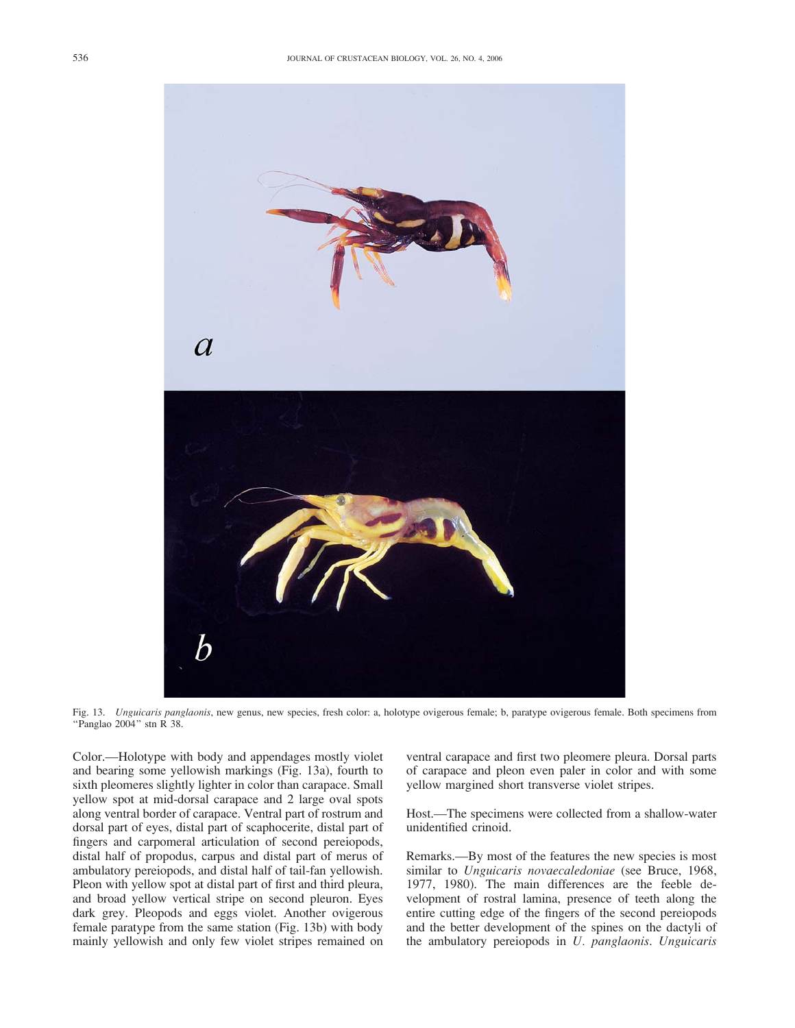

Fig. 13. Unguicaris panglaonis, new genus, new species, fresh color: a, holotype ovigerous female; b, paratype ovigerous female. Both specimens from "Panglao 2004" stn R 38.

Color.—Holotype with body and appendages mostly violet and bearing some yellowish markings (Fig. 13a), fourth to sixth pleomeres slightly lighter in color than carapace. Small yellow spot at mid-dorsal carapace and 2 large oval spots along ventral border of carapace. Ventral part of rostrum and dorsal part of eyes, distal part of scaphocerite, distal part of fingers and carpomeral articulation of second pereiopods, distal half of propodus, carpus and distal part of merus of ambulatory pereiopods, and distal half of tail-fan yellowish. Pleon with yellow spot at distal part of first and third pleura, and broad yellow vertical stripe on second pleuron. Eyes dark grey. Pleopods and eggs violet. Another ovigerous female paratype from the same station (Fig. 13b) with body mainly yellowish and only few violet stripes remained on ventral carapace and first two pleomere pleura. Dorsal parts of carapace and pleon even paler in color and with some yellow margined short transverse violet stripes.

Host.—The specimens were collected from a shallow-water unidentified crinoid.

Remarks.—By most of the features the new species is most similar to Unguicaris novaecaledoniae (see Bruce, 1968, 1977, 1980). The main differences are the feeble development of rostral lamina, presence of teeth along the entire cutting edge of the fingers of the second pereiopods and the better development of the spines on the dactyli of the ambulatory pereiopods in U. panglaonis. Unguicaris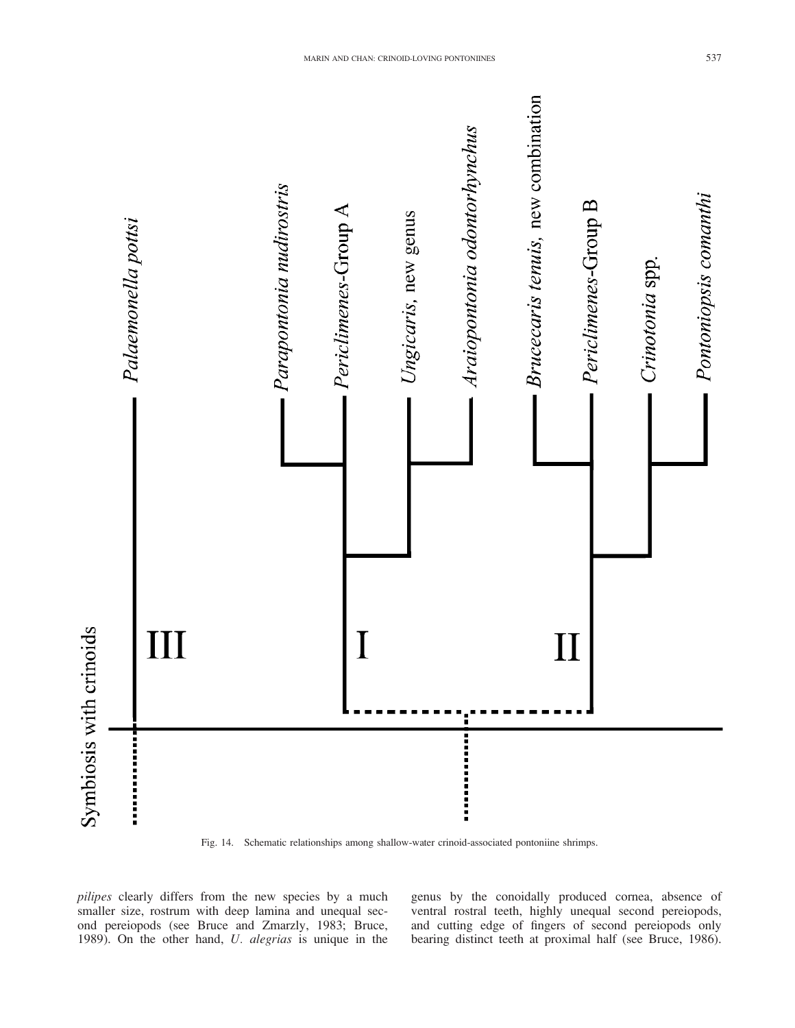

Fig. 14. Schematic relationships among shallow-water crinoid-associated pontoniine shrimps.

pilipes clearly differs from the new species by a much smaller size, rostrum with deep lamina and unequal second pereiopods (see Bruce and Zmarzly, 1983; Bruce, 1989). On the other hand, U. alegrias is unique in the genus by the conoidally produced cornea, absence of ventral rostral teeth, highly unequal second pereiopods, and cutting edge of fingers of second pereiopods only bearing distinct teeth at proximal half (see Bruce, 1986).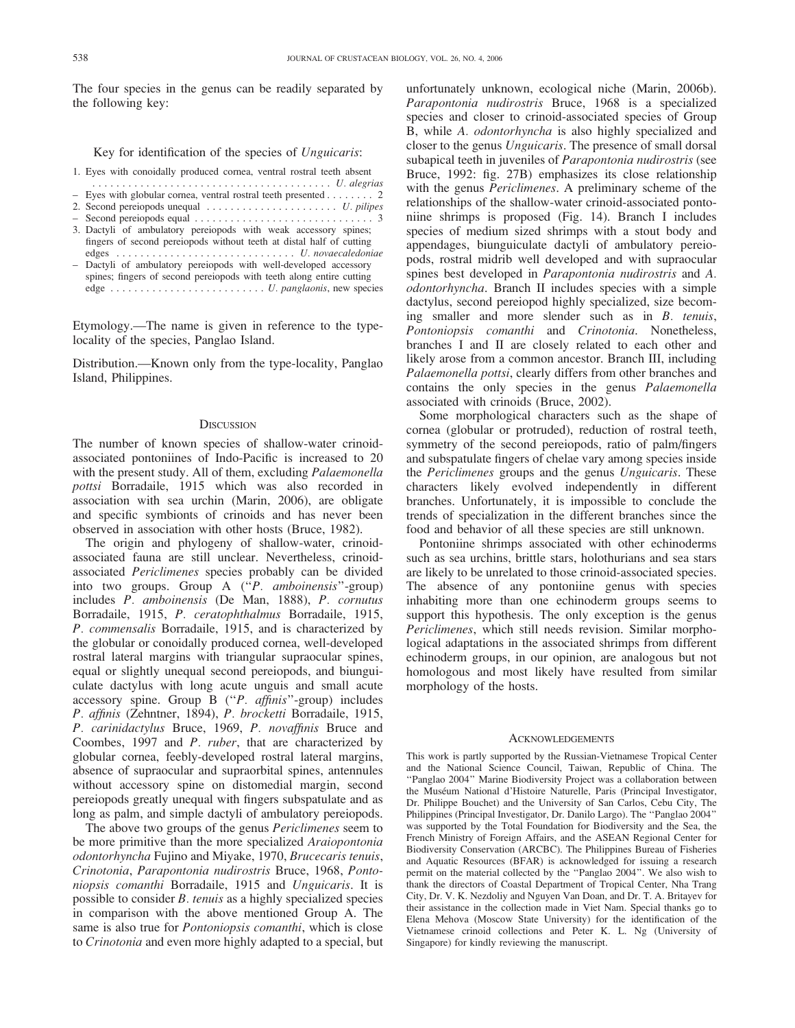The four species in the genus can be readily separated by the following key:

Key for identification of the species of Unguicaris:

- 1. Eyes with conoidally produced cornea, ventral rostral teeth absent
- ........................................ U. alegrias
- Eyes with globular cornea, ventral rostral teeth presented . ....... 2 2. Second pereiopods unequal . . . ................... U. pilipes
- Second pereiopods equal . ............................. 3
- 3. Dactyli of ambulatory pereiopods with weak accessory spines; fingers of second pereiopods without teeth at distal half of cutting edges .............................. U. novaecaledoniae
- Dactyli of ambulatory pereiopods with well-developed accessory spines; fingers of second pereiopods with teeth along entire cutting edge . ......................... U. panglaonis, new species

Etymology.—The name is given in reference to the typelocality of the species, Panglao Island.

Distribution.—Known only from the type-locality, Panglao Island, Philippines.

### **DISCUSSION**

The number of known species of shallow-water crinoidassociated pontoniines of Indo-Pacific is increased to 20 with the present study. All of them, excluding *Palaemonella* pottsi Borradaile, 1915 which was also recorded in association with sea urchin (Marin, 2006), are obligate and specific symbionts of crinoids and has never been observed in association with other hosts (Bruce, 1982).

The origin and phylogeny of shallow-water, crinoidassociated fauna are still unclear. Nevertheless, crinoidassociated Periclimenes species probably can be divided into two groups. Group A ("P. amboinensis"-group) includes P. amboinensis (De Man, 1888), P. cornutus Borradaile, 1915, P. ceratophthalmus Borradaile, 1915, P. commensalis Borradaile, 1915, and is characterized by the globular or conoidally produced cornea, well-developed rostral lateral margins with triangular supraocular spines, equal or slightly unequal second pereiopods, and biunguiculate dactylus with long acute unguis and small acute accessory spine. Group B (''P. affinis''-group) includes P. affinis (Zehntner, 1894), P. brocketti Borradaile, 1915, P. carinidactylus Bruce, 1969, P. novaffinis Bruce and Coombes, 1997 and P. ruber, that are characterized by globular cornea, feebly-developed rostral lateral margins, absence of supraocular and supraorbital spines, antennules without accessory spine on distomedial margin, second pereiopods greatly unequal with fingers subspatulate and as long as palm, and simple dactyli of ambulatory pereiopods.

The above two groups of the genus Periclimenes seem to be more primitive than the more specialized Araiopontonia odontorhyncha Fujino and Miyake, 1970, Brucecaris tenuis, Crinotonia, Parapontonia nudirostris Bruce, 1968, Pontoniopsis comanthi Borradaile, 1915 and Unguicaris. It is possible to consider B. tenuis as a highly specialized species in comparison with the above mentioned Group A. The same is also true for *Pontoniopsis comanthi*, which is close to Crinotonia and even more highly adapted to a special, but

unfortunately unknown, ecological niche (Marin, 2006b). Parapontonia nudirostris Bruce, 1968 is a specialized species and closer to crinoid-associated species of Group B, while A. odontorhyncha is also highly specialized and closer to the genus Unguicaris. The presence of small dorsal subapical teeth in juveniles of Parapontonia nudirostris (see Bruce, 1992: fig. 27B) emphasizes its close relationship with the genus *Periclimenes*. A preliminary scheme of the relationships of the shallow-water crinoid-associated pontoniine shrimps is proposed (Fig. 14). Branch I includes species of medium sized shrimps with a stout body and appendages, biunguiculate dactyli of ambulatory pereiopods, rostral midrib well developed and with supraocular spines best developed in Parapontonia nudirostris and A. odontorhyncha. Branch II includes species with a simple dactylus, second pereiopod highly specialized, size becoming smaller and more slender such as in B. tenuis, Pontoniopsis comanthi and Crinotonia. Nonetheless, branches I and II are closely related to each other and likely arose from a common ancestor. Branch III, including Palaemonella pottsi, clearly differs from other branches and contains the only species in the genus Palaemonella associated with crinoids (Bruce, 2002).

Some morphological characters such as the shape of cornea (globular or protruded), reduction of rostral teeth, symmetry of the second pereiopods, ratio of palm/fingers and subspatulate fingers of chelae vary among species inside the Periclimenes groups and the genus Unguicaris. These characters likely evolved independently in different branches. Unfortunately, it is impossible to conclude the trends of specialization in the different branches since the food and behavior of all these species are still unknown.

Pontoniine shrimps associated with other echinoderms such as sea urchins, brittle stars, holothurians and sea stars are likely to be unrelated to those crinoid-associated species. The absence of any pontoniine genus with species inhabiting more than one echinoderm groups seems to support this hypothesis. The only exception is the genus Periclimenes, which still needs revision. Similar morphological adaptations in the associated shrimps from different echinoderm groups, in our opinion, are analogous but not homologous and most likely have resulted from similar morphology of the hosts.

#### ACKNOWLEDGEMENTS

This work is partly supported by the Russian-Vietnamese Tropical Center and the National Science Council, Taiwan, Republic of China. The ''Panglao 2004'' Marine Biodiversity Project was a collaboration between the Muséum National d'Histoire Naturelle, Paris (Principal Investigator, Dr. Philippe Bouchet) and the University of San Carlos, Cebu City, The Philippines (Principal Investigator, Dr. Danilo Largo). The ''Panglao 2004'' was supported by the Total Foundation for Biodiversity and the Sea, the French Ministry of Foreign Affairs, and the ASEAN Regional Center for Biodiversity Conservation (ARCBC). The Philippines Bureau of Fisheries and Aquatic Resources (BFAR) is acknowledged for issuing a research permit on the material collected by the ''Panglao 2004''. We also wish to thank the directors of Coastal Department of Tropical Center, Nha Trang City, Dr. V. K. Nezdoliy and Nguyen Van Doan, and Dr. T. A. Britayev for their assistance in the collection made in Viet Nam. Special thanks go to Elena Mehova (Moscow State University) for the identification of the Vietnamese crinoid collections and Peter K. L. Ng (University of Singapore) for kindly reviewing the manuscript.